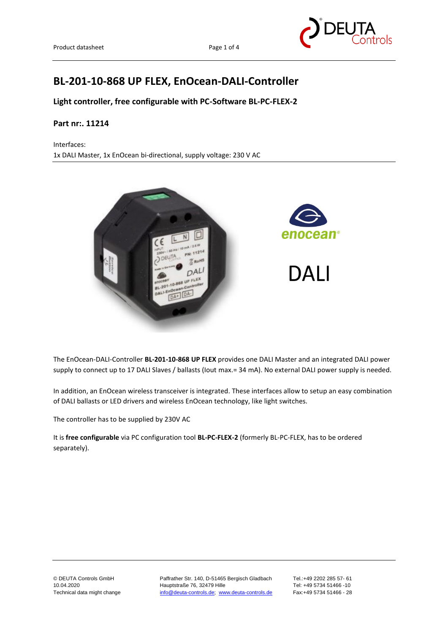

# **BL-201-10-868 UP FLEX, EnOcean-DALI-Controller**

**Light controller, free configurable with PC-Software BL-PC-FLEX-2**

#### **Part nr:. 11214**

Interfaces: 1x DALI Master, 1x EnOcean bi-directional, supply voltage: 230 V AC



The EnOcean-DALI-Controller **BL-201-10-868 UP FLEX** provides one DALI Master and an integrated DALI power supply to connect up to 17 DALI Slaves / ballasts (Iout max.= 34 mA). No external DALI power supply is needed.

In addition, an EnOcean wireless transceiver is integrated. These interfaces allow to setup an easy combination of DALI ballasts or LED drivers and wireless EnOcean technology, like light switches.

The controller has to be supplied by 230V AC

It is **free configurable** via PC configuration tool **BL-PC-FLEX-2** (formerly BL-PC-FLEX, has to be ordered separately).

© DEUTA Controls GmbH Paffrather Str. 140, D-51465 Bergisch Gladbach Tel.:+49 2202 285 57- 61 10.04.2020 Hauptstraße 76, 32479 Hille Tel: +49 5734 51466 -10 Technical data might change [info@deuta-controls.de;](mailto:info@deuta-controls.de) [www.deuta-controls.de](http://www.deuta-controls.de/) Fax:+49 5734 51466 - 28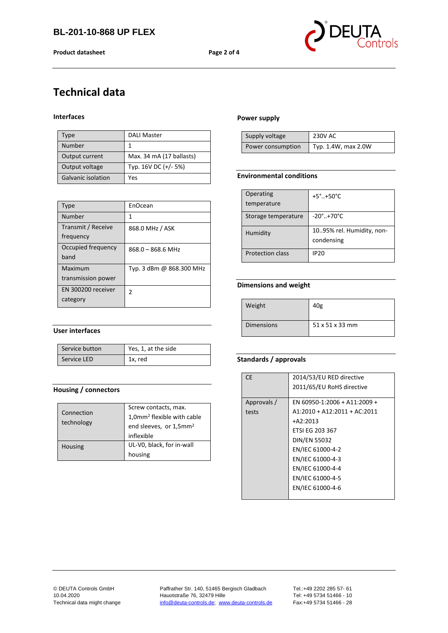**Product datasheet Page 2 of 4**



# **Technical data**

#### **Interfaces**

| Type               | <b>DALI Master</b>       |
|--------------------|--------------------------|
| Number             |                          |
| Output current     | Max. 34 mA (17 ballasts) |
| Output voltage     | Typ. 16V DC (+/- 5%)     |
| Galvanic isolation | Yes                      |

| <b>Type</b>                     | EnOcean                  |
|---------------------------------|--------------------------|
| Number                          | 1                        |
| Transmit / Receive<br>frequency | 868.0 MHz / ASK          |
| Occupied frequency<br>hand      | $868.0 - 868.6$ MHz      |
| Maximum<br>transmission power   | Typ. 3 dBm @ 868.300 MHz |
| EN 300200 receiver<br>category  | 2                        |

#### **User interfaces**

| Service button | $\vert$ Yes, 1, at the side |
|----------------|-----------------------------|
| Service LED    | 1x, red                     |

#### **Housing / connectors**

| Connection<br>technology | Screw contacts, max.<br>1,0mm <sup>2</sup> flexible with cable<br>end sleeves, or 1,5mm <sup>2</sup> |  |
|--------------------------|------------------------------------------------------------------------------------------------------|--|
|                          | inflexible                                                                                           |  |
| Housing                  | UL-V0, black, for in-wall                                                                            |  |
|                          | housing                                                                                              |  |

#### **Power supply**

| Supply voltage    | 230V AC             |
|-------------------|---------------------|
| Power consumption | Typ. 1.4W, max 2.0W |

#### **Environmental conditions**

| Operating               | $+5^{\circ}$ +50 $^{\circ}$ C  |
|-------------------------|--------------------------------|
| temperature             |                                |
| Storage temperature     | $-20^{\circ}$ +70 $^{\circ}$ C |
| Humidity                | 1095% rel. Humidity, non-      |
|                         | condensing                     |
| <b>Protection class</b> | <b>IP20</b>                    |

#### **Dimensions and weight**

| Weight            | 40g           |
|-------------------|---------------|
| <b>Dimensions</b> | $51x51x33$ mm |

#### **Standards / approvals**

| CF.         | 2014/53/EU RED directive       |
|-------------|--------------------------------|
|             | 2011/65/EU RoHS directive      |
|             |                                |
| Approvals / | EN 60950-1:2006 + A11:2009 +   |
| tests       | $A1:2010 + A12:2011 + AC:2011$ |
|             | $+A2:2013$                     |
|             | ETSI EG 203 367                |
|             | <b>DIN/EN 55032</b>            |
|             | EN/IEC 61000-4-2               |
|             | EN/IEC 61000-4-3               |
|             | EN/IEC 61000-4-4               |
|             | EN/IEC 61000-4-5               |
|             | EN/IEC 61000-4-6               |
|             |                                |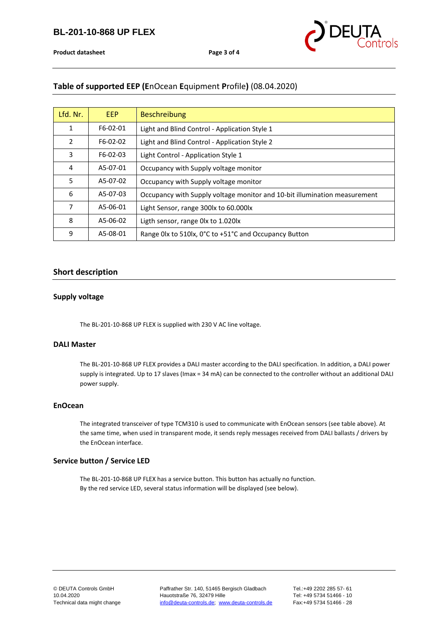

**Product datasheet Product datasheet Page** 3 of 4

## **Table of supported EEP (E**nOcean **E**quipment **P**rofile**)** (08.04.2020)

| Lfd. Nr. | <b>EEP</b> | <b>Beschreibung</b>                                                       |
|----------|------------|---------------------------------------------------------------------------|
| 1        | F6-02-01   | Light and Blind Control - Application Style 1                             |
| 2        | F6-02-02   | Light and Blind Control - Application Style 2                             |
| 3        | F6-02-03   | Light Control - Application Style 1                                       |
| 4        | A5-07-01   | Occupancy with Supply voltage monitor                                     |
| 5        | A5-07-02   | Occupancy with Supply voltage monitor                                     |
| 6        | A5-07-03   | Occupancy with Supply voltage monitor and 10-bit illumination measurement |
| 7        | A5-06-01   | Light Sensor, range 300lx to 60.000lx                                     |
| 8        | A5-06-02   | Ligth sensor, range 0lx to 1.020lx                                        |
| 9        | A5-08-01   | Range Olx to 510lx, 0°C to +51°C and Occupancy Button                     |

#### **Short description**

#### **Supply voltage**

The BL-201-10-868 UP FLEX is supplied with 230 V AC line voltage.

#### **DALI Master**

The BL-201-10-868 UP FLEX provides a DALI master according to the DALI specification. In addition, a DALI power supply is integrated. Up to 17 slaves (Imax = 34 mA) can be connected to the controller without an additional DALI power supply.

#### **EnOcean**

The integrated transceiver of type TCM310 is used to communicate with EnOcean sensors (see table above). At the same time, when used in transparent mode, it sends reply messages received from DALI ballasts / drivers by the EnOcean interface.

#### **Service button / Service LED**

The BL-201-10-868 UP FLEX has a service button. This button has actually no function. By the red service LED, several status information will be displayed (see below).

© DEUTA Controls GmbH Paffrather Str. 140, 51465 Bergisch Gladbach Tel.:+49 2202 285 57- 61 Hauotstraße 76, 32479 Hille Technical data might change [info@deuta-controls.de;](mailto:info@deuta-controls.de) [www.deuta-controls.de](http://www.deuta-controls.de/) Fax:+49 5734 51466 - 28